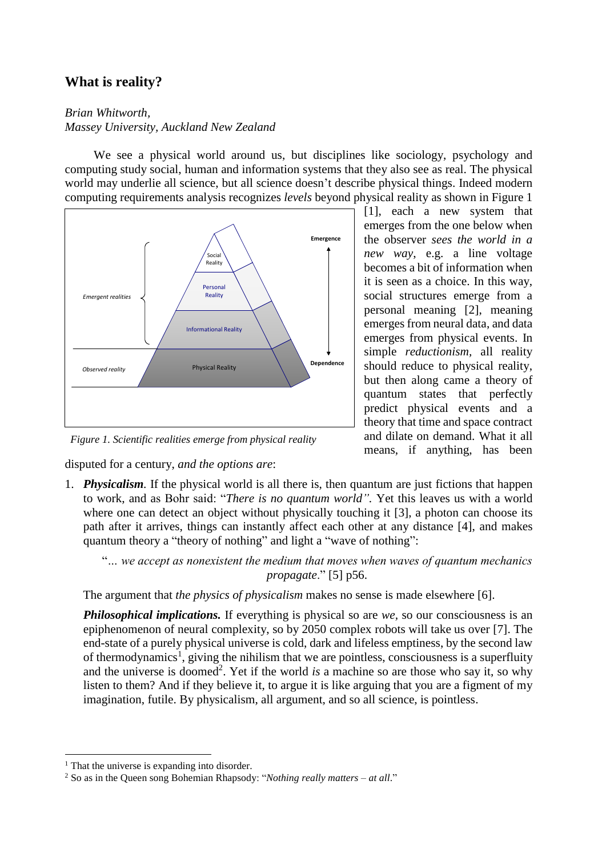# **What is reality?**

*Brian Whitworth, Massey University, Auckland New Zealand*

We see a physical world around us, but disciplines like sociology, psychology and computing study social, human and information systems that they also see as real. The physical world may underlie all science, but all science doesn't describe physical things. Indeed modern computing requirements analysis recognizes *levels* beyond physical reality as shown in Figure 1



*Figure 1. Scientific realities emerge from physical reality*

disputed for a century, *and the options are*:

[1], each a new system that emerges from the one below when the observer *sees the world in a new way*, e.g. a line voltage becomes a bit of information when it is seen as a choice. In this way, social structures emerge from a personal meaning [2], meaning emerges from neural data, and data emerges from physical events. In simple *reductionism,* all reality should reduce to physical reality, but then along came a theory of quantum states that perfectly predict physical events and a theory that time and space contract and dilate on demand. What it all means, if anything, has been

1. *Physicalism.* If the physical world is all there is, then quantum are just fictions that happen to work, and as Bohr said: "*There is no quantum world".* Yet this leaves us with a world where one can detect an object without physically touching it [3], a photon can choose its path after it arrives, things can instantly affect each other at any distance [4], and makes quantum theory a "theory of nothing" and light a "wave of nothing":

"*… we accept as nonexistent the medium that moves when waves of quantum mechanics propagate*." [5] p56.

The argument that *the physics of physicalism* makes no sense is made elsewhere [6].

*Philosophical implications.* If everything is physical so are *we,* so our consciousness is an epiphenomenon of neural complexity, so by 2050 complex robots will take us over [7]. The end-state of a purely physical universe is cold, dark and lifeless emptiness, by the second law of thermodynamics<sup>1</sup>, giving the nihilism that we are pointless, consciousness is a superfluity and the universe is doomed<sup>2</sup>. Yet if the world *is* a machine so are those who say it, so why listen to them? And if they believe it, to argue it is like arguing that you are a figment of my imagination, futile. By physicalism, all argument, and so all science, is pointless.

 $<sup>1</sup>$  That the universe is expanding into disorder.</sup>

<sup>2</sup> So as in the Queen song Bohemian Rhapsody: "*Nothing really matters – at all*."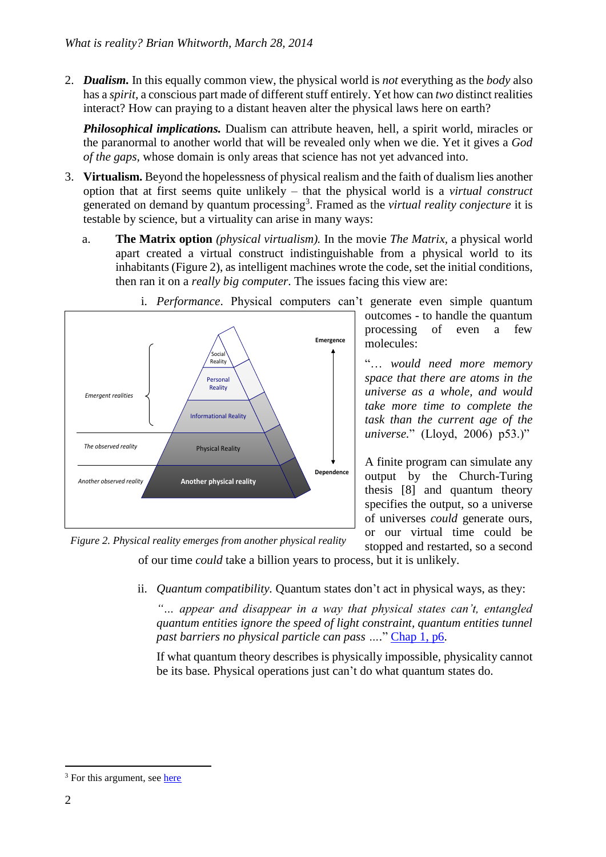2. *Dualism.* In this equally common view, the physical world is *not* everything as the *body* also has a *spirit,* a conscious part made of different stuff entirely. Yet how can *two* distinct realities interact? How can praying to a distant heaven alter the physical laws here on earth?

*Philosophical implications.* Dualism can attribute heaven, hell, a spirit world, miracles or the paranormal to another world that will be revealed only when we die. Yet it gives a *God of the gaps,* whose domain is only areas that science has not yet advanced into.

- 3. **Virtualism.** Beyond the hopelessness of physical realism and the faith of dualism lies another option that at first seems quite unlikely – that the physical world is a *virtual construct* generated on demand by quantum processing<sup>3</sup>. Framed as the *virtual reality conjecture* it is testable by science, but a virtuality can arise in many ways:
	- a. **The Matrix option** *(physical virtualism).* In the movie *The Matrix,* a physical world apart created a virtual construct indistinguishable from a physical world to its inhabitants (Figure 2), as intelligent machines wrote the code, set the initial conditions, then ran it on a *really big computer*. The issues facing this view are:



i. *Performance*. Physical computers can't generate even simple quantum

outcomes - to handle the quantum processing of even a few molecules:

"… *would need more memory space that there are atoms in the universe as a whole, and would take more time to complete the task than the current age of the universe.*" (Lloyd, 2006) p53.)"

A finite program can simulate any output by the Church-Turing thesis [8] and quantum theory specifies the output, so a universe of universes *could* generate ours, or our virtual time could be stopped and restarted, so a second

*Figure 2. Physical reality emerges from another physical reality*

of our time *could* take a billion years to process, but it is unlikely.

ii. *Quantum compatibility.* Quantum states don't act in physical ways, as they:

*"… appear and disappear in a way that physical states can't, entangled quantum entities ignore the speed of light constraint, quantum entities tunnel past barriers no physical particle can pass ….*" [Chap 1, p6.](http://brianwhitworth.com/BW-VRT1.pdf)

If what quantum theory describes is physically impossible, physicality cannot be its base*.* Physical operations just can't do what quantum states do.

<sup>&</sup>lt;sup>3</sup> For this argument, see [here](http://brianwhitworth.com/BW-VRT1.pdf)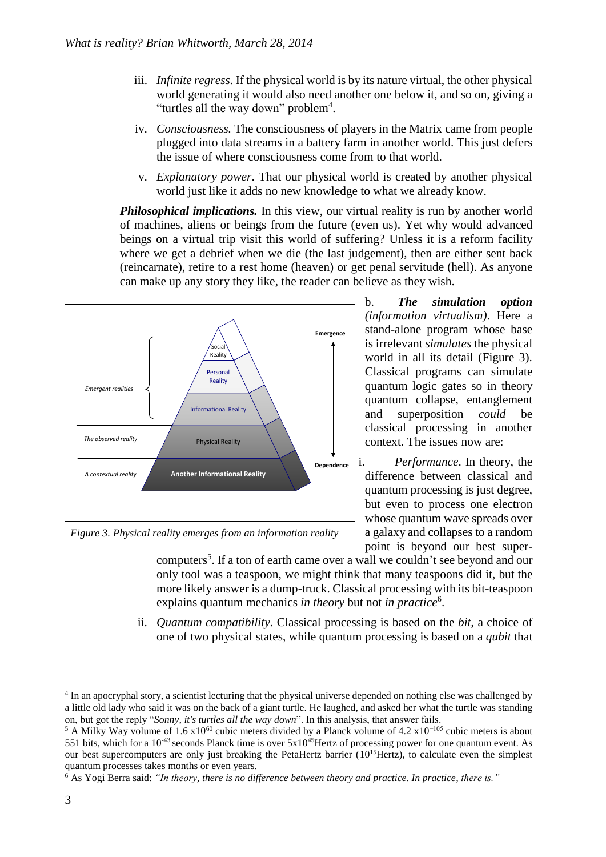- iii. *Infinite regress.* If the physical world is by its nature virtual, the other physical world generating it would also need another one below it, and so on, giving a "turtles all the way down" problem<sup>4</sup>.
- iv. *Consciousness.* The consciousness of players in the Matrix came from people plugged into data streams in a battery farm in another world. This just defers the issue of where consciousness come from to that world.
- v. *Explanatory power*. That our physical world is created by another physical world just like it adds no new knowledge to what we already know.

*Philosophical implications.* In this view, our virtual reality is run by another world of machines, aliens or beings from the future (even us). Yet why would advanced beings on a virtual trip visit this world of suffering? Unless it is a reform facility where we get a debrief when we die (the last judgement), then are either sent back (reincarnate), retire to a rest home (heaven) or get penal servitude (hell). As anyone can make up any story they like, the reader can believe as they wish.



*Figure 3. Physical reality emerges from an information reality*

b. *The simulation option (information virtualism)*. Here a stand-alone program whose base is irrelevant *simulates* the physical world in all its detail (Figure 3). Classical programs can simulate quantum logic gates so in theory quantum collapse, entanglement and superposition *could* be classical processing in another context. The issues now are:

i. *Performance*. In theory, the difference between classical and quantum processing is just degree, but even to process one electron whose quantum wave spreads over a galaxy and collapses to a random point is beyond our best super-

computers<sup>5</sup>. If a ton of earth came over a wall we couldn't see beyond and our only tool was a teaspoon, we might think that many teaspoons did it, but the more likely answer is a dump-truck. Classical processing with its bit-teaspoon explains quantum mechanics *in theory* but not *in practice*<sup>6</sup>.

ii. *Quantum compatibility.* Classical processing is based on the *bit*, a choice of one of two physical states, while quantum processing is based on a *qubit* that

<sup>&</sup>lt;sup>4</sup> In an apocryphal story, a scientist lecturing that the physical universe depended on nothing else was challenged by a little old lady who said it was on the back of a giant turtle. He laughed, and asked her what the turtle was standing on, but got the reply "*Sonny, it's turtles all the way down*". In this analysis, that answer fails.

<sup>&</sup>lt;sup>5</sup> A Milky Way volume of 1.6 x10<sup>60</sup> cubic meters divided by a Planck volume of 4.2 x10<sup>-105</sup> cubic meters is about 551 bits, which for a  $10^{-43}$  seconds Planck time is over  $5x10^{45}$ Hertz of processing power for one quantum event. As our best supercomputers are only just breaking the PetaHertz barrier  $(10^{15}$ Hertz), to calculate even the simplest quantum processes takes months or even years.

<sup>6</sup> As Yogi Berra said: *"In theory, there is no difference between theory and practice. In practice, there is."*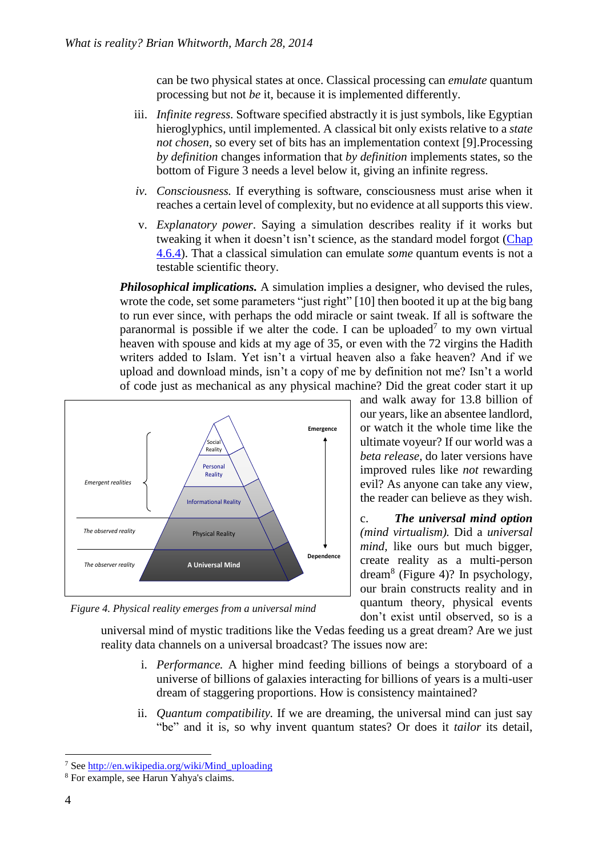can be two physical states at once. Classical processing can *emulate* quantum processing but not *be* it, because it is implemented differently.

- iii. *Infinite regress.* Software specified abstractly it is just symbols, like Egyptian hieroglyphics, until implemented. A classical bit only exists relative to a *state not chosen,* so every set of bits has an implementation context [9].Processing *by definition* changes information that *by definition* implements states, so the bottom of Figure 3 needs a level below it, giving an infinite regress.
- *iv. Consciousness.* If everything is software, consciousness must arise when it reaches a certain level of complexity, but no evidence at allsupports this view.
- v. *Explanatory power*. Saying a simulation describes reality if it works but tweaking it when it doesn't isn't science, as the standard model forgot [\(Chap](http://brianwhitworth.com/BW-VRT4.pdf)  [4.6.4\)](http://brianwhitworth.com/BW-VRT4.pdf). That a classical simulation can emulate *some* quantum events is not a testable scientific theory.

*Philosophical implications.* A simulation implies a designer, who devised the rules, wrote the code, set some parameters "just right" [10] then booted it up at the big bang to run ever since, with perhaps the odd miracle or saint tweak. If all is software the paranormal is possible if we alter the code. I can be uploaded<sup>7</sup> to my own virtual heaven with spouse and kids at my age of 35, or even with the 72 virgins the Hadith writers added to Islam. Yet isn't a virtual heaven also a fake heaven? And if we upload and download minds, isn't a copy of me by definition not me? Isn't a world of code just as mechanical as any physical machine? Did the great coder start it up



*Figure 4. Physical reality emerges from a universal mind*

and walk away for 13.8 billion of our years, like an absentee landlord, or watch it the whole time like the ultimate voyeur? If our world was a *beta release,* do later versions have improved rules like *not* rewarding evil? As anyone can take any view, the reader can believe as they wish.

c. *The universal mind option (mind virtualism).* Did a *universal mind,* like ours but much bigger, create reality as a multi-person dream<sup>8</sup> (Figure 4)? In psychology, our brain constructs reality and in quantum theory, physical events don't exist until observed, so is a

universal mind of mystic traditions like the Vedas feeding us a great dream? Are we just reality data channels on a universal broadcast? The issues now are:

- i. *Performance.* A higher mind feeding billions of beings a storyboard of a universe of billions of galaxies interacting for billions of years is a multi-user dream of staggering proportions. How is consistency maintained?
- ii. *Quantum compatibility.* If we are dreaming, the universal mind can just say "be" and it is, so why invent quantum states? Or does it *tailor* its detail,

 $\overline{a}$ <sup>7</sup> Se[e http://en.wikipedia.org/wiki/Mind\\_uploading](http://en.wikipedia.org/wiki/Mind_uploading)

<sup>8</sup> For example, see Harun Yahya's claims.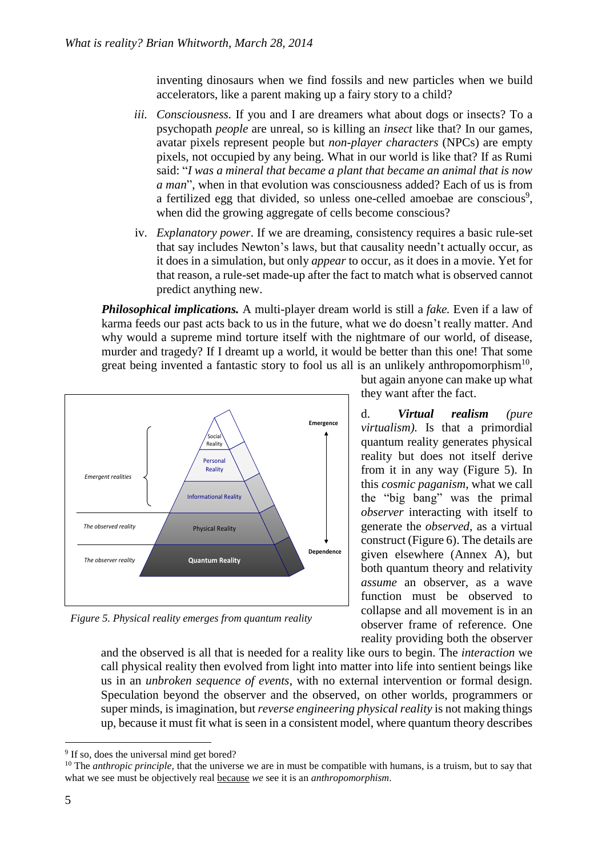inventing dinosaurs when we find fossils and new particles when we build accelerators, like a parent making up a fairy story to a child?

- *iii. Consciousness.* If you and I are dreamers what about dogs or insects? To a psychopath *people* are unreal, so is killing an *insect* like that? In our games, avatar pixels represent people but *non-player characters* (NPCs) are empty pixels, not occupied by any being. What in our world is like that? If as Rumi said: "*I was a mineral that became a plant that became an animal that is now a man*", when in that evolution was consciousness added? Each of us is from a fertilized egg that divided, so unless one-celled amoebae are conscious<sup>9</sup>, when did the growing aggregate of cells become conscious?
- iv. *Explanatory power*. If we are dreaming, consistency requires a basic rule-set that say includes Newton's laws, but that causality needn't actually occur, as it does in a simulation, but only *appear* to occur, as it does in a movie. Yet for that reason, a rule-set made-up after the fact to match what is observed cannot predict anything new.

*Philosophical implications.* A multi-player dream world is still a *fake.* Even if a law of karma feeds our past acts back to us in the future, what we do doesn't really matter. And why would a supreme mind torture itself with the nightmare of our world, of disease, murder and tragedy? If I dreamt up a world, it would be better than this one! That some great being invented a fantastic story to fool us all is an unlikely anthropomorphism<sup>10</sup>,



*Figure 5. Physical reality emerges from quantum reality*

but again anyone can make up what they want after the fact.

d. *Virtual realism (pure virtualism).* Is that a primordial quantum reality generates physical reality but does not itself derive from it in any way (Figure 5). In this *cosmic paganism*, what we call the "big bang" was the primal *observer* interacting with itself to generate the *observed,* as a virtual construct (Figure 6). The details are given elsewhere (Annex A), but both quantum theory and relativity *assume* an observer, as a wave function must be observed to collapse and all movement is in an observer frame of reference. One reality providing both the observer

and the observed is all that is needed for a reality like ours to begin. The *interaction* we call physical reality then evolved from light into matter into life into sentient beings like us in an *unbroken sequence of events*, with no external intervention or formal design. Speculation beyond the observer and the observed, on other worlds, programmers or super minds, is imagination, but *reverse engineering physical reality* is not making things up, because it must fit what is seen in a consistent model, where quantum theory describes

 $\overline{a}$ <sup>9</sup> If so, does the universal mind get bored?

<sup>&</sup>lt;sup>10</sup> The *anthropic principle*, that the universe we are in must be compatible with humans, is a truism, but to say that what we see must be objectively real because *we* see it is an *anthropomorphism*.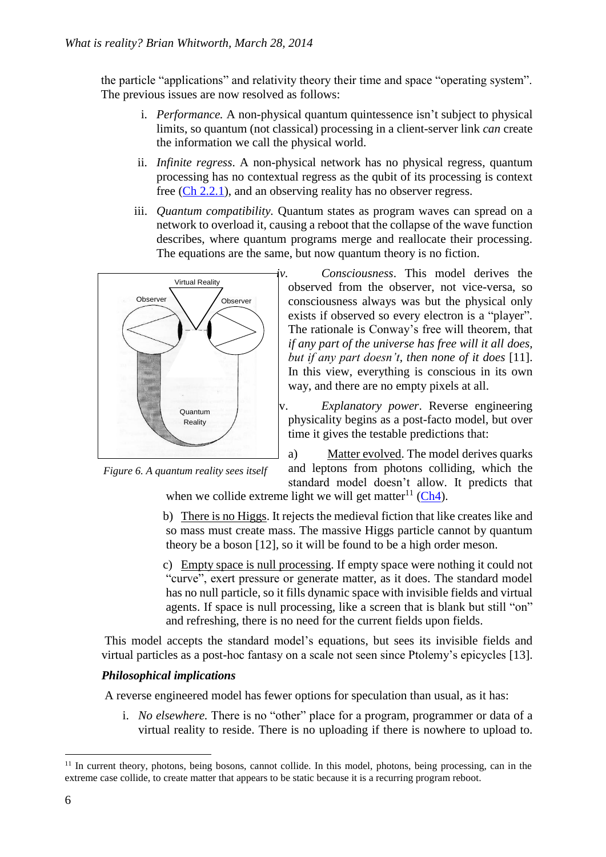the particle "applications" and relativity theory their time and space "operating system". The previous issues are now resolved as follows:

- i. *Performance.* A non-physical quantum quintessence isn't subject to physical limits, so quantum (not classical) processing in a client-server link *can* create the information we call the physical world.
- ii. *Infinite regress*. A non-physical network has no physical regress, quantum processing has no contextual regress as the qubit of its processing is context free [\(Ch 2.2.1\)](http://brianwhitworth.com/BW-VRT2.pdf), and an observing reality has no observer regress.
- iii. *Quantum compatibility.* Quantum states as program waves can spread on a network to overload it, causing a reboot that the collapse of the wave function describes, where quantum programs merge and reallocate their processing. The equations are the same, but now quantum theory is no fiction.



*Figure 6. A quantum reality sees itself*

*iv. Consciousness*. This model derives the observed from the observer, not vice-versa, so consciousness always was but the physical only exists if observed so every electron is a "player". The rationale is Conway's free will theorem, that *if any part of the universe has free will it all does, but if any part doesn't, then none of it does* [11]. In this view, everything is conscious in its own way, and there are no empty pixels at all.

v. *Explanatory power*. Reverse engineering physicality begins as a post-facto model, but over time it gives the testable predictions that:

a)Matter evolved. The model derives quarks and leptons from photons colliding, which the standard model doesn't allow. It predicts that

when we collide extreme light we will get matter<sup>11</sup> [\(Ch4\)](http://brianwhitworth.com/BW-VRT4.pdf).

b)There is no Higgs. It rejects the medieval fiction that like creates like and so mass must create mass. The massive Higgs particle cannot by quantum theory be a boson [12], so it will be found to be a high order meson.

c)Empty space is null processing. If empty space were nothing it could not "curve", exert pressure or generate matter, as it does. The standard model has no null particle, so it fills dynamic space with invisible fields and virtual agents. If space is null processing, like a screen that is blank but still "on" and refreshing, there is no need for the current fields upon fields.

This model accepts the standard model's equations, but sees its invisible fields and virtual particles as a post-hoc fantasy on a scale not seen since Ptolemy's epicycles [13].

### *Philosophical implications*

A reverse engineered model has fewer options for speculation than usual, as it has:

i. *No elsewhere.* There is no "other" place for a program, programmer or data of a virtual reality to reside. There is no uploading if there is nowhere to upload to.

 $11$  In current theory, photons, being bosons, cannot collide. In this model, photons, being processing, can in the extreme case collide, to create matter that appears to be static because it is a recurring program reboot.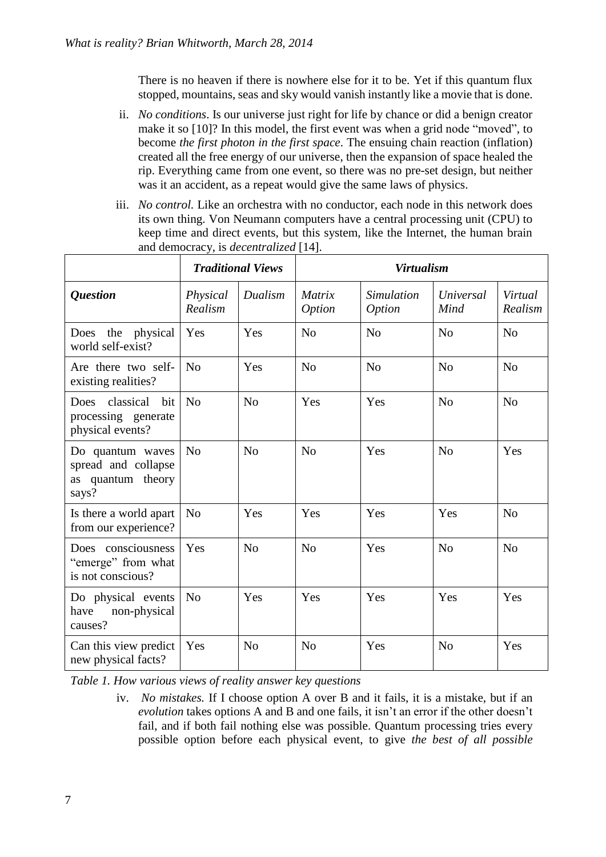There is no heaven if there is nowhere else for it to be. Yet if this quantum flux stopped, mountains, seas and sky would vanish instantly like a movie that is done.

- ii. *No conditions*. Is our universe just right for life by chance or did a benign creator make it so [10]? In this model, the first event was when a grid node "moved", to become *the first photon in the first space*. The ensuing chain reaction (inflation) created all the free energy of our universe, then the expansion of space healed the rip. Everything came from one event, so there was no pre-set design, but neither was it an accident, as a repeat would give the same laws of physics.
- iii. *No control*. Like an orchestra with no conductor, each node in this network does its own thing. Von Neumann computers have a central processing unit (CPU) to keep time and direct events, but this system, like the Internet, the human brain and democracy, is *decentralized* [14].

|                                                                            | <b>Traditional Views</b> |                | <b>Virtualism</b>       |                             |                   |                    |
|----------------------------------------------------------------------------|--------------------------|----------------|-------------------------|-----------------------------|-------------------|--------------------|
| <i><b>Question</b></i>                                                     | Physical<br>Realism      | Dualism        | Matrix<br><i>Option</i> | Simulation<br><i>Option</i> | Universal<br>Mind | Virtual<br>Realism |
| Does the<br>physical<br>world self-exist?                                  | Yes                      | Yes            | N <sub>o</sub>          | N <sub>o</sub>              | N <sub>o</sub>    | N <sub>o</sub>     |
| Are there two self-<br>existing realities?                                 | No                       | Yes            | N <sub>o</sub>          | N <sub>o</sub>              | N <sub>o</sub>    | N <sub>o</sub>     |
| classical<br><b>Does</b><br>bit<br>processing generate<br>physical events? | N <sub>o</sub>           | N <sub>o</sub> | Yes                     | Yes                         | N <sub>o</sub>    | N <sub>o</sub>     |
| Do quantum waves<br>spread and collapse<br>as quantum theory<br>says?      | N <sub>o</sub>           | N <sub>o</sub> | N <sub>o</sub>          | Yes                         | N <sub>o</sub>    | Yes                |
| Is there a world apart<br>from our experience?                             | N <sub>o</sub>           | Yes            | Yes                     | Yes                         | Yes               | N <sub>o</sub>     |
| Does consciousness<br>"emerge" from what<br>is not conscious?              | Yes                      | N <sub>o</sub> | N <sub>o</sub>          | Yes                         | N <sub>o</sub>    | N <sub>o</sub>     |
| Do physical events<br>have<br>non-physical<br>causes?                      | N <sub>o</sub>           | Yes            | Yes                     | Yes                         | Yes               | Yes                |
| Can this view predict<br>new physical facts?                               | Yes                      | N <sub>o</sub> | N <sub>o</sub>          | Yes                         | N <sub>o</sub>    | Yes                |

*Table 1. How various views of reality answer key questions*

iv. *No mistakes.* If I choose option A over B and it fails, it is a mistake, but if an *evolution* takes options A and B and one fails, it isn't an error if the other doesn't fail, and if both fail nothing else was possible. Quantum processing tries every possible option before each physical event, to give *the best of all possible*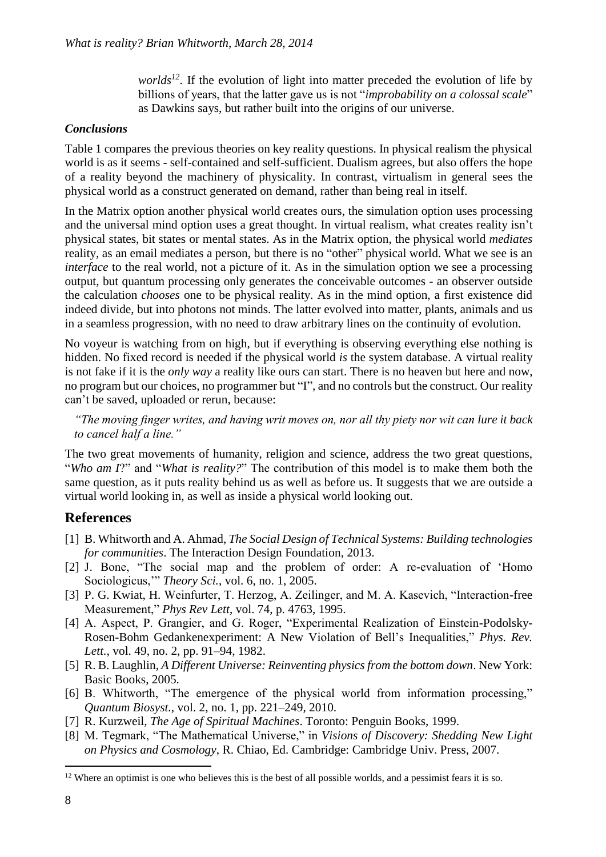*worlds*<sup>12</sup>. If the evolution of light into matter preceded the evolution of life by billions of years, that the latter gave us is not "*improbability on a colossal scale*" as Dawkins says, but rather built into the origins of our universe.

#### *Conclusions*

Table 1 compares the previous theories on key reality questions. In physical realism the physical world is as it seems - self-contained and self-sufficient. Dualism agrees, but also offers the hope of a reality beyond the machinery of physicality. In contrast, virtualism in general sees the physical world as a construct generated on demand, rather than being real in itself.

In the Matrix option another physical world creates ours, the simulation option uses processing and the universal mind option uses a great thought. In virtual realism, what creates reality isn't physical states, bit states or mental states. As in the Matrix option, the physical world *mediates* reality*,* as an email mediates a person, but there is no "other" physical world. What we see is an *interface* to the real world, not a picture of it. As in the simulation option we see a processing output, but quantum processing only generates the conceivable outcomes - an observer outside the calculation *chooses* one to be physical reality. As in the mind option, a first existence did indeed divide, but into photons not minds. The latter evolved into matter, plants, animals and us in a seamless progression, with no need to draw arbitrary lines on the continuity of evolution.

No voyeur is watching from on high, but if everything is observing everything else nothing is hidden. No fixed record is needed if the physical world *is* the system database. A virtual reality is not fake if it is the *only way* a reality like ours can start. There is no heaven but here and now, no program but our choices, no programmer but "I", and no controls but the construct. Our reality can't be saved, uploaded or rerun, because:

*"The moving finger writes, and having writ moves on, nor all thy piety nor wit can lure it back to cancel half a line."*

The two great movements of humanity, religion and science, address the two great questions, "*Who am I*?" and "*What is reality?*" The contribution of this model is to make them both the same question, as it puts reality behind us as well as before us. It suggests that we are outside a virtual world looking in, as well as inside a physical world looking out.

### **References**

- [1] B. Whitworth and A. Ahmad, *The Social Design of Technical Systems: Building technologies for communities*. The Interaction Design Foundation, 2013.
- [2] J. Bone, "The social map and the problem of order: A re-evaluation of 'Homo Sociologicus,'" *Theory Sci.*, vol. 6, no. 1, 2005.
- [3] P. G. Kwiat, H. Weinfurter, T. Herzog, A. Zeilinger, and M. A. Kasevich, "Interaction-free Measurement," *Phys Rev Lett*, vol. 74, p. 4763, 1995.
- [4] A. Aspect, P. Grangier, and G. Roger, "Experimental Realization of Einstein-Podolsky-Rosen-Bohm Gedankenexperiment: A New Violation of Bell's Inequalities," *Phys. Rev. Lett.*, vol. 49, no. 2, pp. 91–94, 1982.
- [5] R. B. Laughlin, *A Different Universe: Reinventing physics from the bottom down*. New York: Basic Books, 2005.
- [6] B. Whitworth, "The emergence of the physical world from information processing," *Quantum Biosyst.*, vol. 2, no. 1, pp. 221–249, 2010.
- [7] R. Kurzweil, *The Age of Spiritual Machines*. Toronto: Penguin Books, 1999.
- [8] M. Tegmark, "The Mathematical Universe," in *Visions of Discovery: Shedding New Light on Physics and Cosmology*, R. Chiao, Ed. Cambridge: Cambridge Univ. Press, 2007.

<sup>&</sup>lt;sup>12</sup> Where an optimist is one who believes this is the best of all possible worlds, and a pessimist fears it is so.